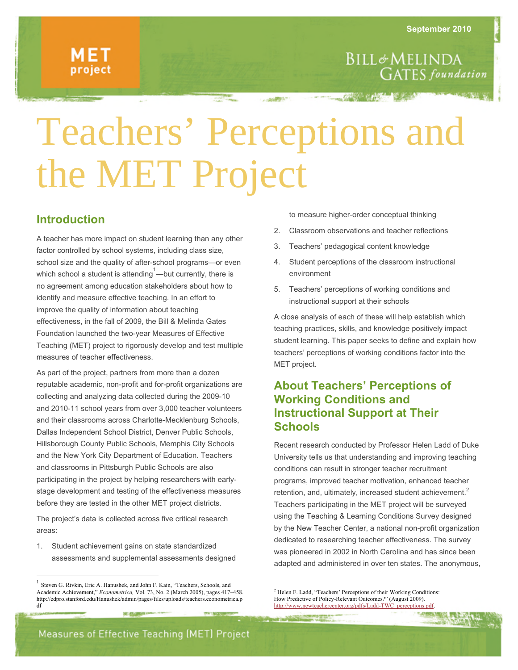# Teachers' Perceptions and the MET Project

### **Introduction**

A teacher has more impact on student learning than any other factor controlled by school systems, including class size, school size and the quality of after-school programs—or even which school a student is attending  $\overline{1}$ —but currently, there is no agreement among education stakeholders about how to identify and measure effective teaching. In an effort to improve the quality of information about teaching effectiveness, in the fall of 2009, the Bill & Melinda Gates Foundation launched the two-year Measures of Effective Teaching (MET) project to rigorously develop and test multiple measures of teacher effectiveness.

As part of the project, partners from more than a dozen reputable academic, non-profit and for-profit organizations are collecting and analyzing data collected during the 2009-10 and 2010-11 school years from over 3,000 teacher volunteers and their classrooms across Charlotte-Mecklenburg Schools, Dallas Independent School District, Denver Public Schools, Hillsborough County Public Schools, Memphis City Schools and the New York City Department of Education. Teachers and classrooms in Pittsburgh Public Schools are also participating in the project by helping researchers with earlystage development and testing of the effectiveness measures before they are tested in the other MET project districts.

The project's data is collected across five critical research areas:

1. Student achievement gains on state standardized assessments and supplemental assessments designed

31 G.G

to measure higher-order conceptual thinking

- 2. Classroom observations and teacher reflections
- 3. Teachers' pedagogical content knowledge
- 4. Student perceptions of the classroom instructional environment
- 5. Teachers' perceptions of working conditions and instructional support at their schools

A close analysis of each of these will help establish which teaching practices, skills, and knowledge positively impact student learning. This paper seeks to define and explain how teachers' perceptions of working conditions factor into the MET project.

## **About Teachers' Perceptions of Working Conditions and Instructional Support at Their Schools**

Recent research conducted by Professor Helen Ladd of Duke University tells us that understanding and improving teaching conditions can result in stronger teacher recruitment programs, improved teacher motivation, enhanced teacher retention, and, ultimately, increased student achievement.<sup>2</sup> Teachers participating in the MET project will be surveyed using the Teaching & Learning Conditions Survey designed by the New Teacher Center, a national non-profit organization dedicated to researching teacher effectiveness. The survey was pioneered in 2002 in North Carolina and has since been adapted and administered in over ten states. The anonymous,

 <sup>1</sup> Steven G. Rivkin, Eric A. Hanushek, and John F. Kain, "Teachers, Schools, and Academic Achievement," *Econometrica,* Vol. 73, No. 2 (March 2005), pages 417–458. http://edpro.stanford.edu/Hanushek/admin/pages/files/uploads/teachers.econometrica.p df

 <sup>2</sup> Helen F. Ladd, "Teachers' Perceptions of their Working Conditions: How Predictive of Policy-Relevant Outcomes?" (August 2009). http://www.newteachercenter.org/pdfs/Ladd-TWC\_perceptions.pdf.